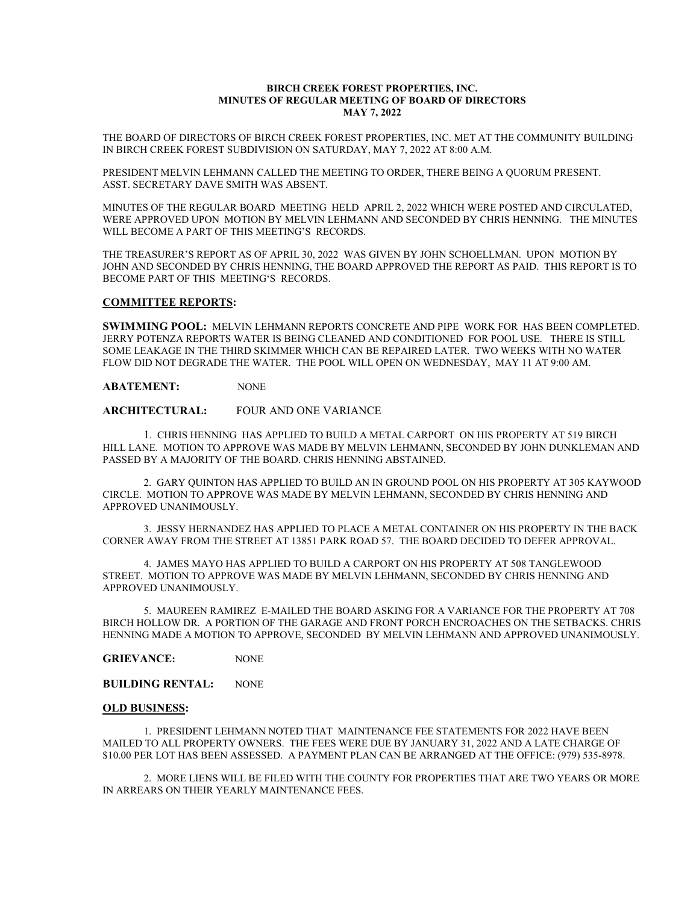### BIRCH CREEK FOREST PROPERTIES, INC. MINUTES OF REGULAR MEETING OF BOARD OF DIRECTORS MAY 7, 2022

THE BOARD OF DIRECTORS OF BIRCH CREEK FOREST PROPERTIES, INC. MET AT THE COMMUNITY BUILDING IN BIRCH CREEK FOREST SUBDIVISION ON SATURDAY, MAY 7, 2022 AT 8:00 A.M.

PRESIDENT MELVIN LEHMANN CALLED THE MEETING TO ORDER, THERE BEING A QUORUM PRESENT. ASST. SECRETARY DAVE SMITH WAS ABSENT.

MINUTES OF THE REGULAR BOARD MEETING HELD APRIL 2, 2022 WHICH WERE POSTED AND CIRCULATED, WERE APPROVED UPON MOTION BY MELVIN LEHMANN AND SECONDED BY CHRIS HENNING. THE MINUTES WILL BECOME A PART OF THIS MEETING'S RECORDS.

THE TREASURER'S REPORT AS OF APRIL 30, 2022 WAS GIVEN BY JOHN SCHOELLMAN. UPON MOTION BY JOHN AND SECONDED BY CHRIS HENNING, THE BOARD APPROVED THE REPORT AS PAID. THIS REPORT IS TO BECOME PART OF THIS MEETING'S RECORDS.

# COMMITTEE REPORTS:

SWIMMING POOL: MELVIN LEHMANN REPORTS CONCRETE AND PIPE WORK FOR HAS BEEN COMPLETED. JERRY POTENZA REPORTS WATER IS BEING CLEANED AND CONDITIONED FOR POOL USE. THERE IS STILL SOME LEAKAGE IN THE THIRD SKIMMER WHICH CAN BE REPAIRED LATER. TWO WEEKS WITH NO WATER FLOW DID NOT DEGRADE THE WATER. THE POOL WILL OPEN ON WEDNESDAY, MAY 11 AT 9:00 AM.

ABATEMENT: NONE

# ARCHITECTURAL: FOUR AND ONE VARIANCE

 1. CHRIS HENNING HAS APPLIED TO BUILD A METAL CARPORT ON HIS PROPERTY AT 519 BIRCH HILL LANE. MOTION TO APPROVE WAS MADE BY MELVIN LEHMANN, SECONDED BY JOHN DUNKLEMAN AND PASSED BY A MAJORITY OF THE BOARD. CHRIS HENNING ABSTAINED.

 2. GARY QUINTON HAS APPLIED TO BUILD AN IN GROUND POOL ON HIS PROPERTY AT 305 KAYWOOD CIRCLE. MOTION TO APPROVE WAS MADE BY MELVIN LEHMANN, SECONDED BY CHRIS HENNING AND APPROVED UNANIMOUSLY.

 3. JESSY HERNANDEZ HAS APPLIED TO PLACE A METAL CONTAINER ON HIS PROPERTY IN THE BACK CORNER AWAY FROM THE STREET AT 13851 PARK ROAD 57. THE BOARD DECIDED TO DEFER APPROVAL.

 4. JAMES MAYO HAS APPLIED TO BUILD A CARPORT ON HIS PROPERTY AT 508 TANGLEWOOD STREET. MOTION TO APPROVE WAS MADE BY MELVIN LEHMANN, SECONDED BY CHRIS HENNING AND APPROVED UNANIMOUSLY.

 5. MAUREEN RAMIREZ E-MAILED THE BOARD ASKING FOR A VARIANCE FOR THE PROPERTY AT 708 BIRCH HOLLOW DR. A PORTION OF THE GARAGE AND FRONT PORCH ENCROACHES ON THE SETBACKS. CHRIS HENNING MADE A MOTION TO APPROVE, SECONDED BY MELVIN LEHMANN AND APPROVED UNANIMOUSLY.

GRIEVANCE: NONE

BUILDING RENTAL: NONE

### OLD BUSINESS:

 1. PRESIDENT LEHMANN NOTED THAT MAINTENANCE FEE STATEMENTS FOR 2022 HAVE BEEN MAILED TO ALL PROPERTY OWNERS. THE FEES WERE DUE BY JANUARY 31, 2022 AND A LATE CHARGE OF \$10.00 PER LOT HAS BEEN ASSESSED. A PAYMENT PLAN CAN BE ARRANGED AT THE OFFICE: (979) 535-8978.

 2. MORE LIENS WILL BE FILED WITH THE COUNTY FOR PROPERTIES THAT ARE TWO YEARS OR MORE IN ARREARS ON THEIR YEARLY MAINTENANCE FEES.